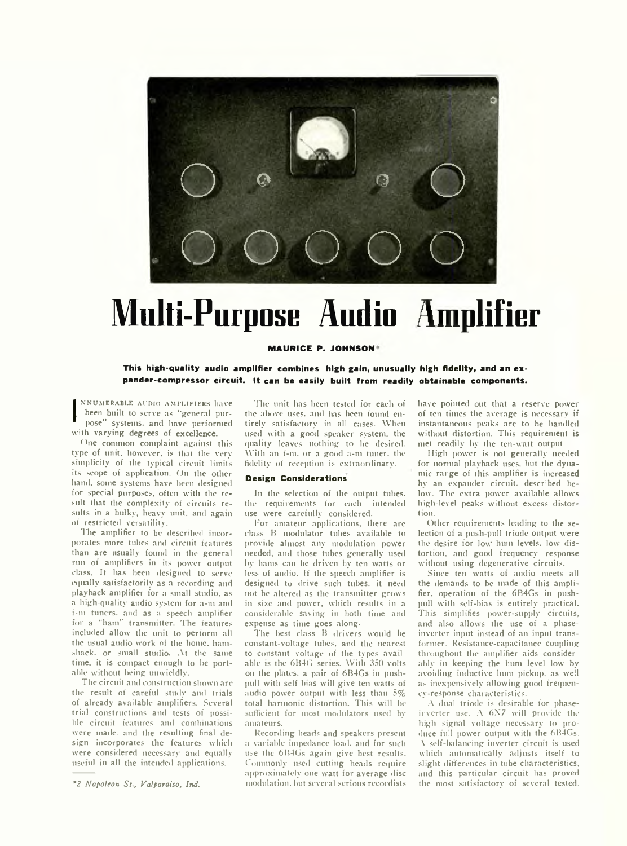

# **Multi-Purpose Audio Amplifier**

#### **MAURICE P. JOHNSON\***

This high-quality audio amplifier combines high gain, unusually high fidelity, and an expander-compressor circuit. It can be easily built from readily obtainable components.

NNUMERABLE AUDIO AMPLIFIERS I<br>heen built to serve as "general pose" systems, and have perfor<br>with varying degrees of excellence. NNUMERABLE AUDIO AMPLIFIERS have been built to serve as ''general purpose" systems, and have performed

One common complaint against this type of unit, however, is that the very simplicity of the typical circuit limits its scope of application. On the other hand, some systems have been designed for special purposes, often with the result that the complexity of circuits results in a bulky, heavy unit, and again of restricted versatility.

The amplifier to be described incorporates more tubes and circuit features than are usually found in the general run of amplifiers in its power output class. It has been designed to serve equally satisfactorily as a recording and playback amplifier for a small studio, as a high-quality audio system for a-m and f-m tuners, and as a speech amplifier for a "ham" transmitter. The features included allow the unit to perform all the usual audio work of the home, hamshack. or small studio. At the same time, it is compact enough to be portable without being umvieldly.

The circuit and construction shown are the result of careful study and trials of already available amplifiers. Several trial constructions and tests of possible circuit features and combinations were made, and the resulting final design incorporates the features which were considered necessary and equally useful in all the intended applications.

*\*2 Napoleon S t, Valparaiso, Ind.*

The unit has been tested for each of the above uses, and has been found entirely satisfactory in all cases. When used with a good speaker system, the quality leaves nothing to be desired. With an f-m, or a good a-m tuner, the fidelity of reception is extraordinary.

# **Design Considerations**

In the selection of the output tubes, the requirements for each intended use were carefully considered.

For amateur applications, there are class B modulator tubes available to provide almost any modulation power needed, and those tubes generally used by hams can he driven by ten watts or less of audio. If the speech amplifier is designed to drive such tubes, it need not be altered as the transmitter grows in size and power, which results in a considerable saving in both time and expense as time goes along.

The best class B drivers would be constant-voltage tubes, and the nearest to constant voltage of the types available is the 6B4G series. With 350 volts on the plates, a pair of 6B4Gs in pushpull with self bias will give ten watts of audio power output with less than *5%* total harmonic distortion. This will be sufficient for most modulators used by amateurs.

Recording heads and speakers present a variable impedance load, and for such use the 6B4Gs again give best results. Commonly used cutting heads require approximately one watt for average disc modulation, but several serious recordists

have pointed out that a reserve power of ten times the average is necessary if instantaneous peaks are to be handled without distortion. This requirement is met readily by the ten-watt output.

High power is not generally needed for normal playback uses, but the dynamic range of this amplifier is increased by an expander circuit, described below. The extra power available allows high-level peaks without excess distortion.

Other requirements leading to the selection of a push-pull triode output were the desire for low hum levels, low distortion, and good frequency response without using degenerative circuits.

Since ten watts of audio meets all the demands to be made of this amplifier, operation of the 6R4Gs in pushpull with self-bias is entirely practical. This simplifies power-supply circuits, and also allows the use of a phaseinverter input instead of an input transformer. Resistance-capacitance coupling throughout the amplifier aids considerably in keeping the hum level low by avoiding inductive hum pickup, as well as inexpensively allowing good frequency-response characteristics.

A dual triode is desirable for phaseinverter use. A 6X7 will provide the high signal voltage necessary to produce full power output with the 6B4Gs. \ self-balancing inverter circuit is used which automatically adjusts itself to slight differences in tube characteristics, and this particular circuit has proved the most satisfactory of several tested.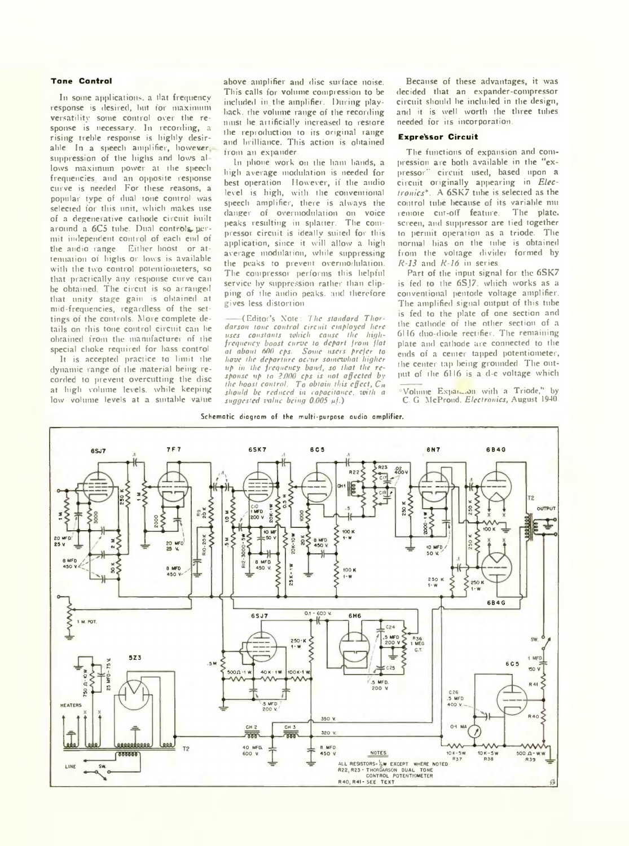#### **Tone Control**

In some applications, a tlat frequency response is desired, but tor maximum versatility some control over the response is necessary. In recording, a rising treble response is highly desirable. In a speech amplifier, however, suppression of the highs and lows allows maximum power at the speech frequencies, and an opposite response curve is needed. For these reasons, a popular type of dual tone control was selected for this unit, which makes use of a degenerative cathode circuit built around a 6C5 tube. Dual controls permit independent control of each end of the audio range. Either boost or attenuation of highs or lows is available with the two control potentiometers, so that practically any response curve can be obtained. The circut is so arranged that unity stage gain is obtained at mid-frequencies, regardless of the settings of the controls. More complete details on this tone control circuit can he obtained from the manufacturer of the special choke required for bass control.

It is accepted practice to limit the dynamic range of the material being recorded to prevent overcutting the disc at high volume levels, while keeping low volume levels at a suitable value

above amplifier and disc surface noise. This calls for volume compression to be included in the amplifier. During playback. the volume range of the recording must he artificially increased to restore the reproduction to its original range and brilliance. This action is obtained from an expander.

In phone work on the ham bands, a high average modulation is needed for best operation. However, if the audio level is high, with the conventional speech amplifier, there is always the danger of overmodulation on voice peaks resulting in splatter. The compressor circuit is ideally suited for this application, since it will allow a high average modulation, while suppressing the peaks to prevent overmodulation. The compressor performs this helpful service by suppression rather than clipping of the audio peaks, and therefore gives less distortion.

(Editor's Xote: *The standard Thordarson tone control circuit employed here uses constants which cause the highfrequency boost curve to depart from flat at about 600 cps. Some users prefer to have the departure occur somewhat higher up in the frequency band, so that the response up to 2WO cps is not affected by the boost control. To obtain this effect, C» should be reduced in capacitance, with a suggested value being 0005* m/-)

Because of these advantages, it was decided that an expander-compressor circuit should he included in the design, and it is well worth the three tubes needed for its incorporation.

## **Expressor Circuit**

The functions of expansion and compression are both available in the "expressor" circuit used, based upon a circuit originally appearing in *Electronics\*.* A 6SK7 tube is selected as the control tube because of its variable mu remote cut-off feature. The plate, screen, and suppressor are tied together to permit operation as a triode. The normal bias on the tube is obtained from the voltage divider formed by *R-13* and *R-16* in series.

Part of the input signal for the 6SK7 is fed to the 6SJ7. which works as a conventional pentode voltage amplifier. The amplified signal output of this tube is fed to the plate of one section and the cathode of the other section of a 6116 duo-diode rectifier. The remaining plate and cathode are connected to the ends of a center tapped potentiometer. the center tap being grounded. The output of the 6116 is a d-c voltage which

Volume Expansion with a Triode," by C. G. McProud. *Electronics,* August 1940.

#### **Schematic diagram of the multi-purpose audio amplifier.**

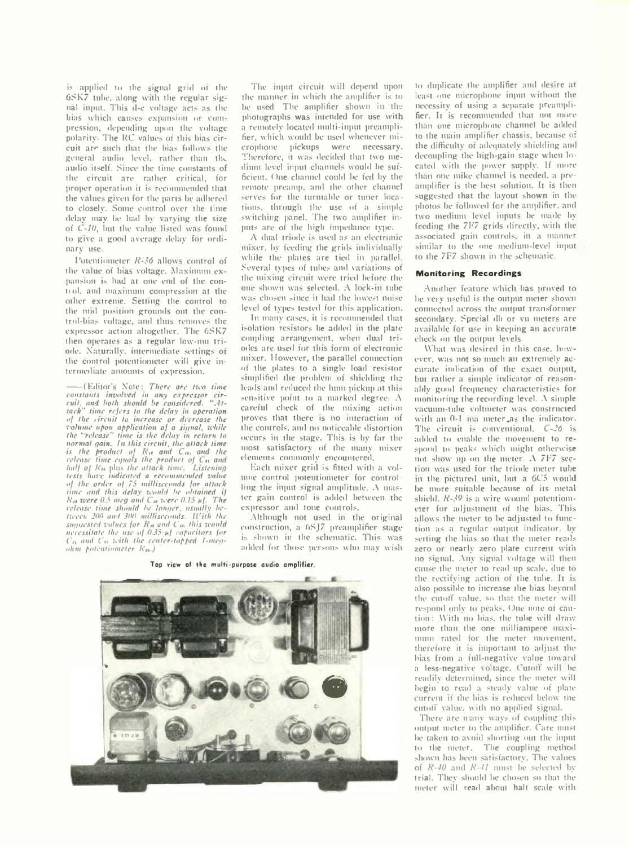is applied to the signal grid of the 6SK7 tube, along with the regular signal input. This d-c voltage acts as the bias which causes expansion or compression, depending upon the voltage polarity. The KC values of this bias circuit are such that the bias follows the general audio level, rather than the audio itself. Since the time constants of the circuit are rather critical, for proper operation it is recommended that the values given for the parts be adhered to closely. Some control over the time delay may be had by varying the size of *C-10,* but the value listed was found to give a good average delay for ordinary use.

Potentiometer *R-36* allows control of the value of bias voltage. Maximum expansion is had at one end of the contiol. and maximum compression at the other extreme. Setting the control to the mid position grounds out the control-bias voltage, and thus removes the expressor action altogether. The 6SK7 then operates as a regular low-mu triode. Naturally, intermediate settings of the control potentiometer will give intermediate amounts of expression.

-----(Editor's Note: *There arc two time constants involved in any expressor cir-cuit, and both should be considered. °Attack'' time refers to the delay in operation of the iireuif to increase or decrease the volume upon application of a signal, while the ' release" time is the delay in return to normal gain. In this circuit, the attack time is the product of R<sub>tt</sub> and C<sub>10</sub>, and the*<br>*release time equals the product of* C<sub>15</sub> and *half of Rst* plus *the attack time. Listening tests have indicated a recommended value of the order of 75 milliseconds for attack time and this delay would be obtained if Rit were 0.5 meg and C» were 0.15 nf. The release time should be longer, usually between 200 and 300 milliseconds. Il'it'h the* suggested values for R<sub>n</sub> and C<sub>10</sub>, this would *necessitate the use of 0.35-fif capacitors for*  $C<sub>21</sub>$  and  $C<sub>25</sub>$  with the center-tapped 1-meg*ohm potentiometer R\$s.)*

The input circuit will depend upon the manner in which the amplifier is to be used. The amplifier shown in the photographs was intended for use with a remotely located multi-input preamplifier, which would be used whenever microphone pickups were necessary. Therefore, it was decided that two medium level input channels would be sufficient. One channel could be fed by the remote preamp, and the other channel serves for the turntable or tuner locations, through the use of a simple switching panel. The two amplifier inputs are of the high impedance type.

A dual triode is used as an electronic mixer, by feeding the grids individually while the plates are tied in parallel. Several types of tubes and variations of the mixing circuit were tried before the one shown was selected. A lock-in tube was chosen since it had the lowest noise level of types tested for this application.

In many cases, it is recommended that isolation resistors be added in the plate coupling arrangement, when dual triodes are used for this form of electronic mixer. However, the parallel connection of the plates to a single load resistor simplified the problem of shielding the leads and reduced the hum pickup at this sensitive point to a marked degree. A careful check of the mixing action proves that there is no interaction of the controls, and no noticeable distortion occurs in the stage. This is by far the most satisfactory of the many mixer elements commonly encountered.

Each mixer grid is fitted with a volume control potentiometer for controlling the input signal amplitude. A master gain control is added between the expressor and tone controls.

Although not used in the original construction, a 6SJ7 preamplifier stage is shown in the schematic. This was added for those persons who may wish

**Top view of the multi-purpose audio amplifier.**



to duplicate the amplifier and desire at least one microphone input without the necessity of using a separate preamplifier. It is recommended that not more than one microphone channel be added to the main amplifier chassis, because of the difficulty of adequately shielding and decoupling the high-gain stage when located with the power supply. If more than one mike channel is needed, a preamplifier is the best solution. It is then suggested that the layout shown in the photos be followed for the amplifier, and two medium level inputs be made byfeeding the 7F7 grids directly, with the associated gain controls, in a manner similar to the one medium-level input to the 7F7 shown in the schematic.

#### **Manitaring Recordings**

Another feature which has proved to be very useful is the output meter shown connected across the output transformer secondary. Special db or vu meters are available for use in keeping an accurate check on the output levels.

What was desired in this case, however, was not so much an extremely accurate indication of the exact output, but rather a simple indicator of reasonably good frequency characteristics for monitoring the recording level. A simple vacuum-tube voltmeter was constructed with an 0-1 ma meter as the indicator. The circuit is conventional. *C-26* is added to enable the movement to respond to peaks which might otherwise not show up on the meter. A 7F7 section was used for the triode meter tube in the pictured unit, but a 6C5 would be more suitable because of its metal shield. *R-39* is a wire wound potentiometer for adjustment of the bias. This allows the meter to be adjusted to function as a regular output indicator, by setting the bias so that the meter reads zero or nearly zero plate current with no signal. Any signal voltage will then cause the meter to read up scale, due to the rectifying action of the tube. It is also possible to increase the bias beyond the cutoff value, so that the meter will respond only to peaks. One note of caution : With no bias, the tube will draw more than the one milliampere maximum rated for the meter movement, therefore it is important to adjust the bias from a full-negative value toward a less-negative voltage. Cutoff will be readily determined, since the meter will begin to read a steady value of plate current if the bias is reduced below the cutoff value, with no applied signal.

There are many ways of coupling this output meter to the amplifier. Care must be taken to avoid shorting out the input to the meter. The coupling method shown has been satisfactory. The values of *R-40* and *R-41* must be selected by trial. They should be chosen so that the meter will read about halt scale with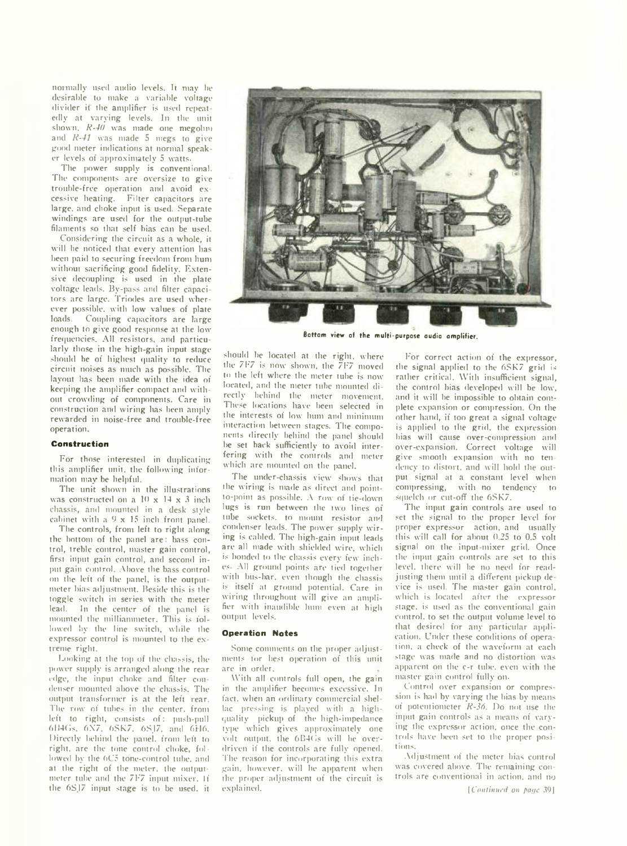normally used audio levels. It may be desirable to make a variable voltage divider it the amplifier is used repeatedly at varying levels. In the unit shown. *R-40* was made one megohm and *R-41* was made 5 megs to give good meter indications at normal speaker levels of approximately 5 watts.

The power supply is conventional. The components are oversize to give trouble-free operation and avoid excessive heating. Filter capacitors are large, and choke input is used. Separate windings are used for the output-tube filaments so that self bias can be used.

Considering the circuit as a whole, it will he noticed that every attention has been paid to securing freedom from hum without sacrificing good fidelity. Extensive decoupling is used in the plate voltage leads. By-pass and filter capacitors arc large. Triodes are used wherever possible, with low values of plate<br>loads. Coupling capacitors are large Coupling capacitors are large enough to give good response at the low frequencies. All resistors, and particularly those in the high-gain input stage should be of highest quality to reduce circuit noises as much as possible. The layout lias been made with the idea of keeping the amplifier compact and without crowding of components. Care in construction and wiring has been amply rewarded in noise-free and trouble-free operation.

## **Construction**

For those interested in duplicating this amplifier unit, the following information may be helpful.

The unit shown in the illustrations was constructed on a 10 x 14 x 3 inch chassis, and mounted in a desk style cabinet with a 9 x 15 inch front panel.

The controls, from left to right along the bottom of the panel are: bass control, treble control, master gain control, first input gain control, and second input gain control. Above the bass control on the left of the panel, is the outputmeter bias adjustment. Beside this is the toggle switch in series with the meter lead. In the center of the panel is mounted the milliammeter. This is followed by the line switch, while the expressor control is mounted to the extreme right.

Looking at the top of the chassis, the power supply is arranged along the rear edge, the input choke and filter condenser mounted above the chassis. The output transformer is at the left rear. The row of tubes in the center, from left to right, consists of: push-pull 6l»40s, 6X7, 6SK7, 6SJ7, and 6H6. Directly behind the panel, from left to right, are the tone control choke, followed by the 6C5 tone-control tube, and at the right of the meter, the outputmeter tube and the 7F7 input mixer. If tlie 6SJ7 input stage is to be used, it



**Bottom view of the multi-purpose audio amplifier.**

should be located at the right, where the 7F7 is now shown, the 7F7 moved to the left where the meter tube is now located, and the meter tube mounted directly behind the meter movement. These locations have been selected in the interests of low hum and minimum interaction between stages. The components directly behind the panel should be set back sufficiently to avoid interfering with the controls and meter which are mounted on the panel.

The under-chassis view shows that the wiring is made as direct and pointto-point as possible. A row of tie-down lugs is run between the two lines of tube sockets, to mount resistor and condenser leads. The power supply wiring is cabled. The high-gain input leads are all made with shielded wire, which is bonded to the chassis every few inches. All ground points are tied together with bus-bar, even though the chassis is itself at ground potential. Care in wiring throughout will give an amplifier with inaudible hum even at high output levels.

## **Operation Notes**

Some comments on the proper adjustments tor best operation of this unit are in order.

With all controls full open, the gain in the amplifier becomes excessive. In fact, when an ordinary commercial shellac pressing is played with a highquality pickup of the high-impedance type which gives approximately one volt output, the 6B4Gs will be overdriven if the controls are fully opened. The reason for incorporating this extra gain, however, will he apparent when the proper adjustment of the circuit is explained.

For correct action of the expressor, the signal applied to the 6SK7 grid is rather critical. With insufficient signal, the control bias developed will be low, and it will be impossible to obtain complete expansion or compression. On the other hand, if too great a signal voltage is applied to the grid, the expression bias will cause over-compression and over-expansion. Correct voltage will give smooth expansion with no tendency to distort, and will hold the output signal at a constant level when compressing, with no tendency to squelch or cut-off the 6SK7.

The input gain controls are used to set the signal to the proper level for proper expressor action, and usually this will call for about 0.25 to 0.5 volt signal on the input-mixer grid. Once the input gain controls are set to this level, there will be no need for readjusting them until a different pickup device is used. The master gain control, which is located after the expressor stage, is used as the conventional gain control, to set the output volume level to that desired for any particular application. Under these conditions of operation. a check of the waveform at each stage was made and no distortion was apparent on the c-r tube, even with the master gain control fully on.

Control over expansion or compression is had by varying the bias by means of potentiometer *R-36.* Do not use the input gain controls as a means of varying the expressor action, once the controls have been set to the proper positions.

Adjustment of the meter bias control was covered above. The remaining controls are conventional in action, and no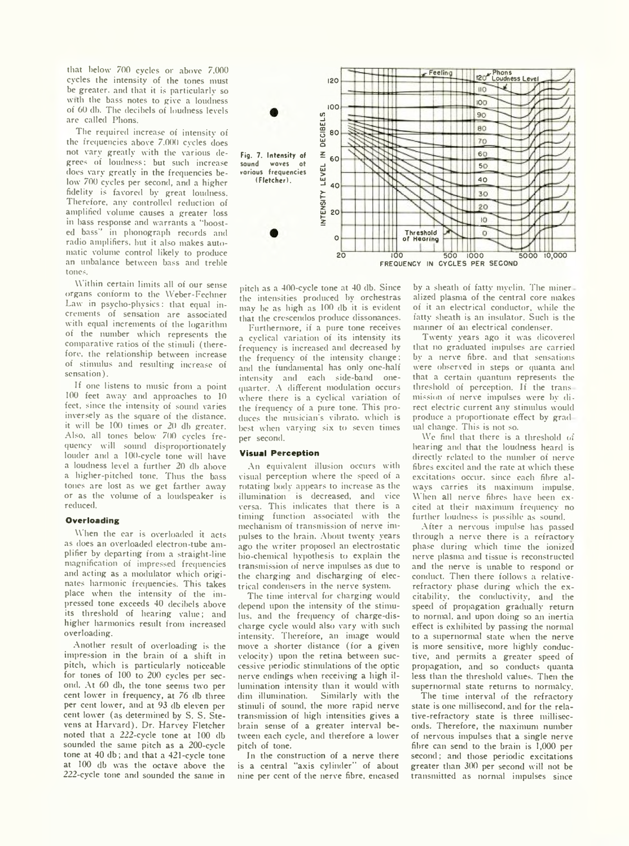that below 700 cycles or above 7,000 cycles the intensity of the tones must be greater, and that it is particularly so with the bass notes to give a loudness of 00 db. The decibels of loudness levels are called Plions.

The required increase of intensity of the frequencies above 7.000 cycles does not vary greatly with the various degrees of loudness; but such increase does vary greatly in the frequencies below 700 cycles per second, and a higher fidelity is favored by great loudness. Therefore, any controlled reduction of amplified volume causes a greater loss in bass response and warrants a ''boosted bass'' in phonograph records and radio amplifiers, but it also makes automatic volume control likely to produce an unbalance between bass and treble tones.

\\ ithin certain limits all of our sense organs conform to the Weber-Fechner Law in psycho-physics: that equal increments of sensation are associated with equal increments of the logarithm of the number which represents the comparative ratios of the stimuli (therefore, the relationship between increase of stimulus and resulting increase of sensation).

If one listens to music from a point 100 feet away and approaches to 10 feet, since the intensity of sound varies inversely as the square of the distance, it will be 100 times or 20 db greater. Also, all tones below 700 cvcles frequency will sound disproportionately louder and a 100-cycle tone will have a loudness level a further 20 db above a higher-pitched tone. Thus the bass tones are lost as we get farther away or as the volume of a loudspeaker is reduced.

### **Overloading**

When the ear is overloaded it acts as does an overloaded electron-tube amplifier by departing from a straight-line magnification of impressed frequencies and acting as a modulator which originates harmonic frequencies. This takes place when the intensity of the impressed tone exceeds 40 decibels above its threshold of hearing value; and higher harmonics result from increased overloading.

Another result of overloading is the impression in the brain of a shift in pitch, which is particularly noticeable for tones of 100 to 200 cycles per second, At 60 db, the tone seems two per cent lower in frequency, at 76 db three per cent lower, and at 93 db eleven per cent lower (as determined by S. S. Stevens at Harvard), Dr. Harvey Fletcher noted that a 222-cycle tone at 100 db sounded the same pitch as a 200-cycle tone at 40 db; and that a 421-cycle tone at 100 db was the octave above the 222-cycle tone and sounded the same in



pitch as a 400-cycle tone at 40 db. Since the intensities produced bv orchestras may be as high as 100 db it is evident that the crescendos produce dissonances.

Furthermore, if a pure tone receives a cyclical variation of its intensity its frequency is increased and decreased by the frequency of the intensity change: and the fundamental has only one-half intensity and each side-band onequarter. A different modulation occurs where there is a cyclical variation of the frequency of a pure tone. This produces the musician's vibrato, which is best when varying six to seven times per second.

## **Visual Perception**

An equivalent illusion occurs with visual perception where the speed of a rotating hodv appears to increase as the illumination is decreased, and vice versa. This indicates that there is a timing function associated with the mechanism of transmission of nerve impulses to the brain. About twenty years ago the writer proposed an electrostatic bio-chemical hypothesis to explain the transmission of nerve impulses as due to the charging and discharging of electrical condensers in the nerve system.

The time interval for charging would depend upon the intensity of the stimulus. and the frequency of charge-discharge cycle would also vary with such intensity. Therefore, an image would move a shorter distance (for a given velocity) upon the retina between successive periodic stimulations of the optic nerve endings when receiving a high illumination intensity than it would with dim illumination. Similarly with the stimuli of sound, the more rapid nerve transmission of high intensities gives a brain sense of a greater interval between each cycle, and therefore a lower pitch of tone.

In the construction of a nerve there is a central "axis cylinder" of about nine per cent of the nerve fibre, encased by a sheath of fatty myelin. The miner alized plasma of the central core makes of it an electrical conductor, while the fatty sheath is an insulator. Such is the manner of an electrical condenser.

Twenty years ago it was dicovered that no graduated impulses are carried by a nerve fibre, and that sensations were observed in steps or quanta and that a certain quantum represents the threshold of perception. If the transmission of nerve impulses were by direct electric current any stimulus would produce a proportionate effect by grad ual change. This is not so.

We find that there is a threshold of hearing and that the loudness heard is directly related to the number of nerve fibres excited and the rate at which these excitations occur, since each fibre always carries its maximum impulse. When all nerve fibres have been excited at their maximum frequency no further loudness is possible as sound.

After a nervous impulse has passed through a nerve there is a refractory phase during which time the ionized nerve plasma and tissue is reconstructed and the nerve is unable to respond or conduct. Then there follows a relativerefractory phase during which the excitability, the conductivity, and the speed of propagation gradually return to normal, and upon doing so an inertia effect is exhibited by passing the normal to a supernormal state when the nerve is more sensitive, more highly conductive, and permits a greater speed of propagation, and so conducts quanta less than the threshold values. Then the supernormal state returns to normalcy.

The time interval of the refractory state is one millisecond, and for the relative-refractory state is three milliseconds. Therefore, the maximum number of nervous impulses that a single nerve fibre can send to the brain is 1,000 per second; and those periodic excitations greater than 300 per second will not be transmitted as normal impulses since